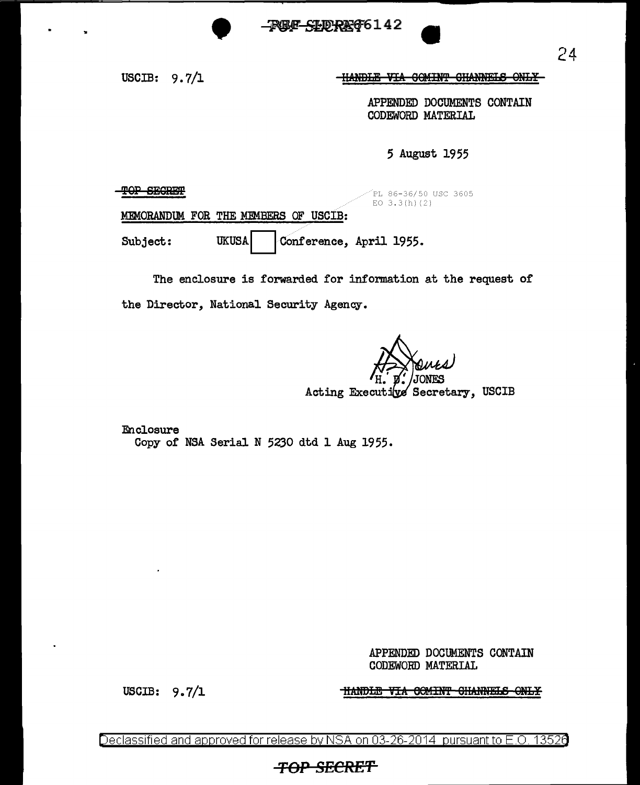REF<del>SIDREG</del>6142

USCIB:  $9.7/1$ 

-HANDLE VIA COMINT CHANNELS ONLY-

APPENDED DOCUMENTS CONTAIN CODEWORD MATERIAL

5 August 1955

**TOP SEGRET** 

PL 86-36/50 USC 3605 EO  $3.3(h)(2)$ 

MEMORANDUM FOR THE MEMBERS OF USCIB:

Conference, April 1955. **UKUSA** Subject:

The enclosure is forwarded for information at the request of the Director, National Security Agency.

Acting Executive Secretary, USCIB

Enclosure Copy of NSA Serial N 5230 dtd 1 Aug 1955.

> APPENDED DOCUMENTS CONTAIN CODEWORD MATERIAL

USCIB:  $9.7/1$ 

**HANDLE VIA COMINT GHANNELS ONLY** 

Declassified and approved for release by NSA on 03-26-2014 pursuant to E.O. 13526

## **TOP SECRET**

24